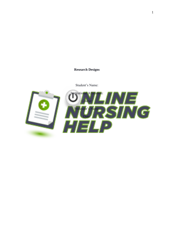# **Research Designs**

Student's Name:

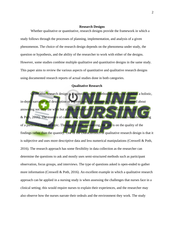#### **Research Designs**

Whether qualitative or quantitative, research designs provide the framework in which a study follows through the processes of planning, implementation, and analysis of a given phenomenon. The choice of the research design depends on the phenomena under study, the question or hypothesis, and the ability of the researcher to work with either of the designs. However, some studies combine multiple qualitative and quantitative designs in the same study. This paper aims to review the various aspects of quantitative and qualitative research designs using documented research reports of actual studies done in both categories.

### **Qualitative Research**

Qualitative research design is a scientific inquiry method that aims to establish a holistic, in-depth narrative and description of a given study phenomenon. It is more concerned about answering not only the what but also the whys and how of a phenomenon in question (Creswell & Poth, 2016). The essence of conducting qualitative research is to get a detailed understanding of a particular issue or topic. Though it is time-consuming, the aim is on the quality of the findings rather than the quantity. One of the characteristics of qualitative research design is that it is subjective and uses more descriptive data and less numerical manipulations (Creswell & Poth, 2016). The research approach has some flexibility in data collection as the researcher can determine the questions to ask and mostly uses semi-structured methods such as participant observation, focus groups, and interviews. The type of questions asked is open-ended to gather more information (Creswell & Poth, 2016). An excellent example in which a qualitative research approach can be applied in a nursing study is when assessing the challenges that nurses face in a clinical setting; this would require nurses to explain their experiences, and the researcher may also observe how the nurses narrate their ordeals and the environment they work. The study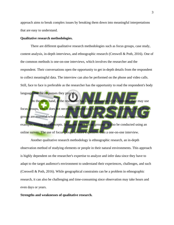approach aims to break complex issues by breaking them down into meaningful interpretations that are easy to understand.

# **Qualitative research methodologies.**

There are different qualitative research methodologies such as focus groups, case study, content analysis, in-depth interviews, and ethnographic research (Creswell & Poth, 2016). One of the common methods is one-on-one interviews, which involves the researcher and the respondent. Their conversations open the opportunity to get in-depth details from the respondent to collect meaningful data. The interview can also be performed on the phone and video calls. Still, face to face is preferable as the researcher has the opportunity to read the respondent's body language and the responses they provide. On the other hand, if the researcher has a limited number of respondents, they may use

focus groups, which does not necessitate interacting with individuals on a personal level. Focus groups are essential when conducting studies that involve explaining complex processe. example, testing new concepts. In current times focus groups can also be conducted using an online survey. The use of focus groups is more expensive than a one-on-one interview.

Another qualitative research methodology is ethnographic research, an in-depth observation method of studying elements or people in their natural environments. This approach is highly dependent on the researcher's expertise to analyze and infer data since they have to adapt to the target audience's environment to understand their experiences, challenges, and such (Creswell & Poth, 2016). While geographical constraints can be a problem in ethnographic research, it can also be challenging and time-consuming since observation may take hours and even days or years.

# **Strengths and weaknesses of qualitative research.**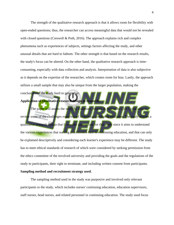The strength of the qualitative research approach is that it allows room for flexibility with open-ended questions; thus, the researcher can access meaningful data that would not be revealed with closed questions (Creswell & Poth, 2016). The approach explains rich and complex phenomena such as experiences of subjects, settings factors affecting the study, and other unusual details that are hard to fathom. The other strength is that based on the research results, the study's focus can be altered. On the other hand, the qualitative research approach is timeconsuming, especially with data collection and analysis. Interpretation of data is also subjective as it depends on the expertise of the researcher, which creates room for bias. Lastly, the approach utilizes a small sample that may also be unique from the larger population, making the

# **Application of Qualitative research design in research.**

conclusions of the study hard to generalize.

The paper will assess the study by Eslamian, Moeini & Soleimani (2015) that aims to review some of the challenges experienced in nursing continuing education. The study utilizes a qualitative research design that I consider appropriate for this study since it aims to understand the various experiences that nursing practitioners face in continuing education, and that can only be explained descriptively and considering each learner's experience may be different. The study has to meet ethical standards of research of which were considered by seeking permission from the ethics committee of the involved university and providing the goals and the regulations of the study to participants, their right to terminate, and including written consent from participants. **Sampling method and recruitment strategy used.**

The sampling method used in the study was purposive and involved only relevant participants to the study, which includes nurses' continuing education, education supervisors, staff nurses, head nurses, and related personnel in continuing education. The study used focus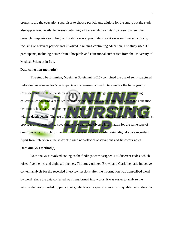groups to aid the education supervisor to choose participants eligible for the study, but the study also appreciated available nurses continuing education who voluntarily chose to attend the research. Purposive sampling in this study was appropriate since it saves on time and costs by focusing on relevant participants involved in nursing continuing education. The study used 39 participants, including nurses from 3 hospitals and educational authorities from the University of Medical Sciences in Iran.

#### **Data collection method(s)**

The study by Eslamian, Moeini & Soleimani (2015) combined the use of semi-structured individual interviews for 5 participants and a semi-structured interview for the focus groups. Considering the aim of the study is to understand the challenges nurses face in continuing education, conducting a semi-structured personal interview with participants from the education institution, hospitals, and nursing association supplements the data collected from focus groups with in-depth details. The use of focus groups rather than individual interview for all participants provides an opportunity to save time while gathering diverse information for the same type of questions which is rich for the study. The sessions were recorded using digital voice recorders. Apart from interviews, the study also used non-official observations and fieldwork notes.

## **Data analysis method(s)**

Data analysis involved coding as the findings were assigned 175 different codes, which raised five themes and eight sub-themes. The study utilized Brown and Clark thematic inductive content analysis for the recorded interview sessions after the information was transcribed word by word. Since the data collected was transformed into words, it was easier to analyze the various themes provided by participants, which is an aspect common with qualitative studies that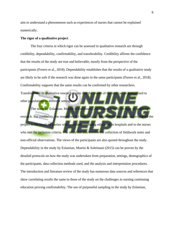aim to understand a phenomenon such as experiences of nurses that cannot be explained numerically.

### **The rigor of a qualitative project**

The four criteria in which rigor can be assessed in qualitative research are through credibility, dependability, confirmability, and transferability. Credibility affirms the confidence that the results of the study are true and believable, mostly from the perspective of the participants (Forero et al., 2018). Dependability establishes that the results of a qualitative study are likely to be safe if the research was done again in the same participants (Forero et al., 2018). Confirmability supports that the same results can be confirmed by other researchers.

Transferability in qualitative research means that the results of the stud can be generalized to other populations in different settings.

The study by Eslamian, Moeini & Soleimani (2015) does uphold the rigor of qualitative research. For credibility, the researcher did firsts visit all the involved hospitals and explained the project to the involved parties who provided continuing education in hospitals and to the nurses who met the inclusion criteria. The study did also involve the collection of fieldwork notes and non-official observations. The views of the participants are also quoted throughout the study. Dependability in the study by Eslamian, Moeini & Soleimani (2015) can be proven by the detailed protocols on how the study was undertaken from preparation, settings, demographics of the participants, data collection methods used, and the analysis and interpretation procedures. The introduction and literature review of the study has numerous data sources and references that show correlating results the same to those of the study on the challenges in nursing continuing education proving confirmability. The use of purposeful sampling in the study by Eslamian,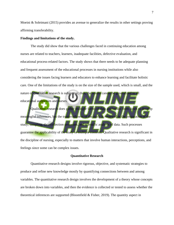Moeini & Soleimani (2015) provides an avenue to generalize the results in other settings proving affirming transferability.

#### **Findings and limitations of the study.**

The study did show that the various challenges faced in continuing education among nurses are related to teachers, learners, inadequate facilities, defective evaluation, and educational process-related factors. The study shows that there needs to be adequate planning and frequent assessment of the educational processes in nursing institutions while also considering the issues facing learners and educators to enhance learning and facilitate holistic care. One of the limitations of the study is on the size of the sample used, which is small, and the nature of qualitative research is subjective; thus, the results cannot be generalized to all educational authorities and nurses. Qualitative research does gather multiple forms of data and breaks them down to develop meaningful inferences, but the trustworthiness of the study is reviewed in the preparation of the study, sampling, data collection processes, and scientific analysis of data. Such processes guarantee the applicability of the study in multiple contexts. Qualitative research is significant in

the discipline of nursing, especially to matters that involve human interactions, perceptions, and feelings since some can be complex issues.

#### **Quantitative Research**

Quantitative research designs involve rigorous, objective, and systematic strategies to produce and refine new knowledge mostly by quantifying connections between and among variables. The quantitative research design involves the development of a theory whose concepts are broken down into variables, and then the evidence is collected or tested to assess whether the theoretical inferences are supported (Bloomfield & Fisher, 2019). The quantity aspect in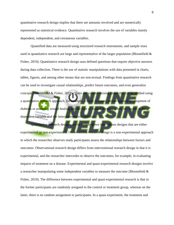quantitative research design implies that there are amounts involved and are numerically represented as statistical evidence. Quantitative research involves the use of variables mainly dependent, independent, and extraneous variables.

Quantified data are measured using structured research instruments, and sample sizes used in quantitative research are large and representative of the larger population (Bloomfield  $\&$ Fisher, 2019). Quantitative research design uses defined questions that require objective answers during data collection. There is the use of statistic manipulations with data presented in charts, tables, figures, and among other means that are non-textual. Findings from quantitative research can be used to investigate causal relationships, predict future outcomes, and even generalize concepts (Bloomfield & Fisher, 2019). There are various nursing issues that can be studied using a quantitative research approach, for example, a study to assess patient age and development of diabetes or assessing wound healing and the type of wound dressing where the former is the dependent variable and the latter independent variable

Quantitative research designs can be broken down into various designs that are either experimental or non-experimental. Observational research design is a non-experimental approach in which the researcher observes study participants assess the relationships between factors and outcomes. Observational research design differs from interventional research design in that it is experimental, and the researcher intercedes to observe the outcomes, for example, in evaluating impacts of treatment on a disease. Experimental and quasi-experimental research designs involve a researcher manipulating some independent variables to measure the outcome (Bloomfield  $\&$ Fisher, 2019). The difference between experimental and quasi-experimental research is that in the former participants are randomly assigned to the control or treatment group, whereas on the latter, there is no random assignment to participants. In a quasi-experiment, the treatment and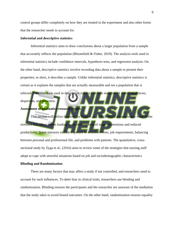control groups differ completely on how they are treated in the experiment and also other forms that the researcher needs to account for.

## **Inferential and descriptive statistics**

Inferential statistics aims to draw conclusions about a larger population from a sample that accurately reflects the population (Bloomfield  $\&$  Fisher, 2019). The analysis tools used in inferential statistics include confidence intervals, hypothesis tests, and regression analysis. On the other hand, descriptive statistics involve recording data about a sample to present their properties; in short, it describes a sample. Unlike inferential statistics, descriptive statistics is certain as it explains the samples that are actually measurable and not a population that is inferred. Common tools used in descriptive statistics include measures of central tendencies, dispersion, and skewness.

# **Assessment of qualitative research report**

This section will utilize the study by Zyga et al. (2016), which acknowledges some stressors that affect nurses leading to the development of negative emotions and reduced productivity. Some stressors include exposure to stressful events, job requirements, balancing between personal and professional life, and problems with patients. The quantitative, crosssectional study by Zyga et al., (2016) aims to review some of the strategies that nursing staff adopt to cope with stressful situations based on job and sociodemographic characteristics

#### **Blinding and Randomization**

There are many factors that may affect a study if not controlled, and researchers need to account for such influences. To deter bias in clinical trials, researchers use blinding and randomization. Blinding ensures the participants and the researcher are unaware of the mediation that the study takes to avoid biased outcomes. On the other hand, randomization ensures equality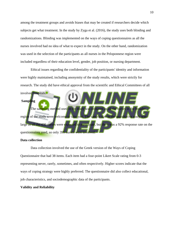among the treatment groups and avoids biases that may be created if researchers decide which subjects get what treatment. In the study by Zyga et al. (2016), the study uses both blinding and randomizations. Blinding was implemented on the ways of coping questionnaires as all the nurses involved had no idea of what to expect in the study. On the other hand, randomization was used in the selection of the participants as all nurses in the Peloponnese region were included regardless of their education level, gender, job position, or nursing department.

Ethical issues regarding the confidentiality of the participants' identity and information were highly maintained, including anonymity of the study results, which were strictly for research. The study did have ethical approval from the scientific and Ethical Committees of all involved hospitals. **Sampling** The sampling method used in the study was unbiased as all the nurses in the broader region of the study were welcome to take part. The sample size in the quantitative stud large as all the 430 nurses were expected to participate, but there was a 92% response rate on the questionnaires used, so only 395 nurs

### **Data collection**

Data collection involved the use of the Greek version of the Ways of Coping Questionnaire that had 38 items. Each item had a four-point Likert Scale rating from 0-3 representing never, rarely, sometimes, and often respectively. Higher scores indicate that the ways of coping strategy were highly preferred. The questionnaire did also collect educational, job characteristics, and sociodemographic data of the participants.

#### **Validity and Reliability**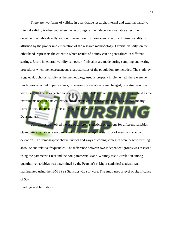There are two forms of validity in quantitative research, internal and external validity. Internal validity is observed when the recordings of the independent variable affect the dependent variable directly without interruption from extraneous factors. Internal validity is affirmed by the proper implementation of the research methodology. External validity, on the other hand, represents the extent to which results of a study can be generalized in different settings. Errors in external validity can occur if mistakes are made during sampling and testing procedures when the heterogeneous characteristics of the population are included. The study by Zyga et al. upholds validity as the methodology used is properly implemented, there were no mortalities recorded in participants, no measuring variables were changed, no extreme scores were used, and no unexpected factors were recorded. The reliability of the study is upheld as the instruments used in data collection and analysis are scientifically approved and statistically correct; thus, the results of the study can be generalized. Data analysis

Data analysis involved the use of different statistical operations for different variables. Quantitative variables were described using the descriptive statistics of mean and standard deviation. The demographic characteristics and ways of coping strategies were described using absolute and relative frequencies. The difference between two independent groups was assessed using the parametric t-test and the non-parametric Mann-Whitney test. Correlation among quantitative variables was determined by the Pearson's r. Major statistical analysis was manipulated using the IBM SPSS Statistics v22 software. The study used a level of significance of 5%.

Findings and limitations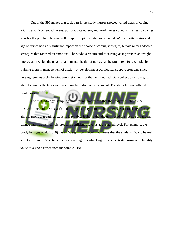Out of the 395 nurses that took part in the study, nurses showed varied ways of coping with stress. Experienced nurses, postgraduate nurses, and head nurses coped with stress by trying to solve the problem. Nurses in ICU apply coping strategies of denial. While marital status and age of nurses had no significant impact on the choice of coping strategies, female nurses adopted strategies that focused on emotions. The study is resourceful to nursing as it provides an insight into ways in which the physical and mental health of nurses can be promoted, for example, by training them in management of anxiety or developing psychological support programs since nursing remains a challenging profession, not for the faint-hearted. Data collection n stress, its identification, effects, as well as coping by individuals, is crucial. The study has no outlined

limitations.

The methodology, sampling, and testing procedures that the study use upholds the trustworthiness of the research and its applicability in multiple contexts. Statistical significance aims to prove that a given statistic is reliable. It shows that the units used are not due to random chance and that the risk tolerated and confidence level is at the stated level. For example, the Study by Zyga et al. (2016) has a 5% significant level that means that the study is 95% to be real, and it may have a 5% chance of being wrong. Statistical significance is tested using a probability value of a given effect from the sample used.